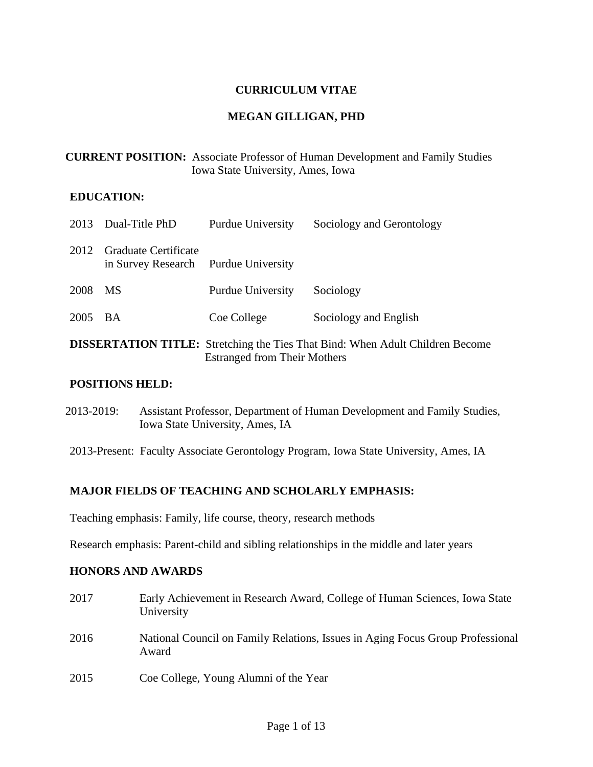### **CURRICULUM VITAE**

#### **MEGAN GILLIGAN, PHD**

| <b>CURRENT POSITION:</b> Associate Professor of Human Development and Family Studies |
|--------------------------------------------------------------------------------------|
| Iowa State University, Ames, Iowa                                                    |

### **EDUCATION:**

|                                                                                                                             | 2013 Dual-Title PhD                                                 | <b>Purdue University</b> | Sociology and Gerontology |  |
|-----------------------------------------------------------------------------------------------------------------------------|---------------------------------------------------------------------|--------------------------|---------------------------|--|
| 2012                                                                                                                        | <b>Graduate Certificate</b><br>in Survey Research Purdue University |                          |                           |  |
| 2008                                                                                                                        | <b>MS</b>                                                           | <b>Purdue University</b> | Sociology                 |  |
| 2005 BA                                                                                                                     |                                                                     | Coe College              | Sociology and English     |  |
| <b>DISSERTATION TITLE:</b> Stretching the Ties That Bind: When Adult Children Become<br><b>Estranged from Their Mothers</b> |                                                                     |                          |                           |  |

#### **POSITIONS HELD:**

- 2013-2019: Assistant Professor, Department of Human Development and Family Studies, Iowa State University, Ames, IA
- 2013-Present: Faculty Associate Gerontology Program, Iowa State University, Ames, IA

### **MAJOR FIELDS OF TEACHING AND SCHOLARLY EMPHASIS:**

Teaching emphasis: Family, life course, theory, research methods

Research emphasis: Parent-child and sibling relationships in the middle and later years

### **HONORS AND AWARDS**

2017 Early Achievement in Research Award, College of Human Sciences, Iowa State University 2016 National Council on Family Relations, Issues in Aging Focus Group Professional Award 2015 Coe College, Young Alumni of the Year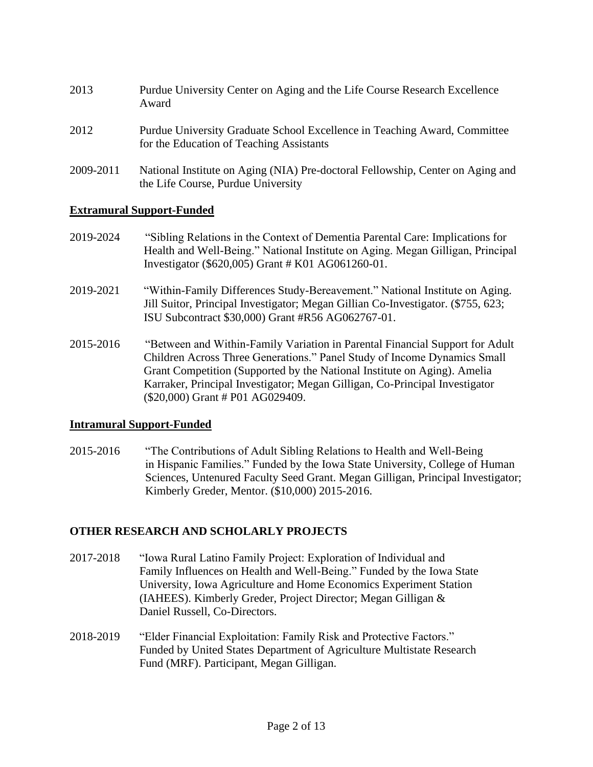- 2013 Purdue University Center on Aging and the Life Course Research Excellence Award 2012 Purdue University Graduate School Excellence in Teaching Award, Committee for the Education of Teaching Assistants
- 2009-2011 National Institute on Aging (NIA) Pre-doctoral Fellowship, Center on Aging and the Life Course, Purdue University

## **Extramural Support-Funded**

- 2019-2024 "Sibling Relations in the Context of Dementia Parental Care: Implications for Health and Well-Being." National Institute on Aging. Megan Gilligan, Principal Investigator (\$620,005) Grant # K01 AG061260-01.
- 2019-2021 "Within-Family Differences Study-Bereavement." National Institute on Aging. Jill Suitor, Principal Investigator; Megan Gillian Co-Investigator. (\$755, 623; ISU Subcontract \$30,000) Grant #R56 AG062767-01.
- 2015-2016 "Between and Within-Family Variation in Parental Financial Support for Adult Children Across Three Generations." Panel Study of Income Dynamics Small Grant Competition (Supported by the National Institute on Aging). Amelia Karraker, Principal Investigator; Megan Gilligan, Co-Principal Investigator (\$20,000) Grant # P01 AG029409.

## **Intramural Support-Funded**

2015-2016 "The Contributions of Adult Sibling Relations to Health and Well-Being in Hispanic Families." Funded by the Iowa State University, College of Human Sciences, Untenured Faculty Seed Grant. Megan Gilligan, Principal Investigator; Kimberly Greder, Mentor. (\$10,000) 2015-2016.

# **OTHER RESEARCH AND SCHOLARLY PROJECTS**

- 2017-2018 "Iowa Rural Latino Family Project: Exploration of Individual and Family Influences on Health and Well-Being." Funded by the Iowa State University, Iowa Agriculture and Home Economics Experiment Station (IAHEES). Kimberly Greder, Project Director; Megan Gilligan & Daniel Russell, Co-Directors.
- 2018-2019 "Elder Financial Exploitation: Family Risk and Protective Factors." Funded by United States Department of Agriculture Multistate Research Fund (MRF). Participant, Megan Gilligan.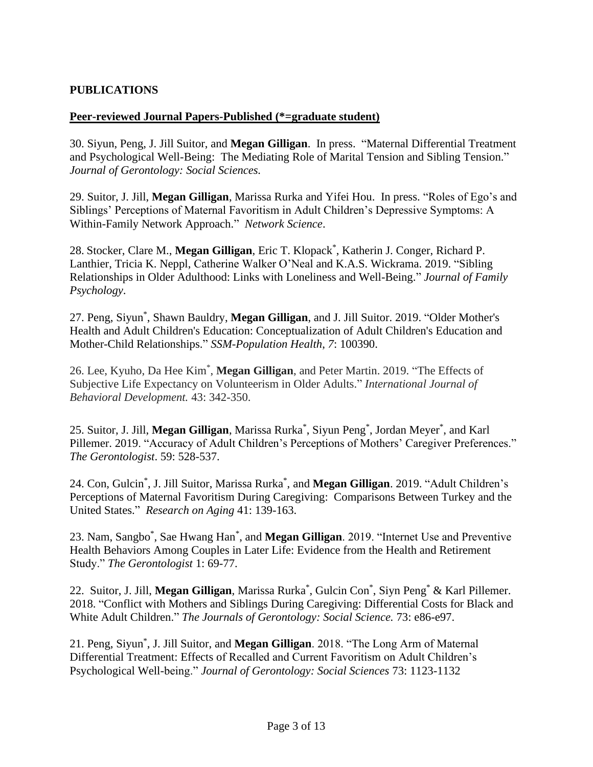## **PUBLICATIONS**

### **Peer-reviewed Journal Papers-Published (\*=graduate student)**

30. Siyun, Peng, J. Jill Suitor, and **Megan Gilligan**. In press. "Maternal Differential Treatment and Psychological Well-Being: The Mediating Role of Marital Tension and Sibling Tension." *Journal of Gerontology: Social Sciences.*

29. Suitor, J. Jill, **Megan Gilligan**, Marissa Rurka and Yifei Hou. In press. "Roles of Ego's and Siblings' Perceptions of Maternal Favoritism in Adult Children's Depressive Symptoms: A Within-Family Network Approach." *Network Science*.

28. Stocker, Clare M., **Megan Gilligan**, Eric T. Klopack \* , Katherin J. Conger, Richard P. Lanthier, Tricia K. Neppl, Catherine Walker O'Neal and K.A.S. Wickrama. 2019. "Sibling Relationships in Older Adulthood: Links with Loneliness and Well-Being." *Journal of Family Psychology*.

27. Peng, Siyun\* , Shawn Bauldry, **Megan Gilligan**, and J. Jill Suitor. 2019. "Older Mother's Health and Adult Children's Education: Conceptualization of Adult Children's Education and Mother-Child Relationships." *SSM-Population Health*, *7*: 100390.

26. Lee, Kyuho, Da Hee Kim\* , **Megan Gilligan**, and Peter Martin. 2019. "The Effects of Subjective Life Expectancy on Volunteerism in Older Adults." *International Journal of Behavioral Development.* 43: 342-350.

25. Suitor, J. Jill, **Megan Gilligan**, Marissa Rurka\* , Siyun Peng\* , Jordan Meyer\* , and Karl Pillemer. 2019. "Accuracy of Adult Children's Perceptions of Mothers' Caregiver Preferences." *The Gerontologist*. 59: 528-537.

24. Con, Gulcin\* , J. Jill Suitor, Marissa Rurka\* , and **Megan Gilligan**. 2019. "Adult Children's Perceptions of Maternal Favoritism During Caregiving: Comparisons Between Turkey and the United States." *Research on Aging* 41: 139-163.

23. Nam, Sangbo\* , Sae Hwang Han\* , and **Megan Gilligan**. 2019. "Internet Use and Preventive Health Behaviors Among Couples in Later Life: Evidence from the Health and Retirement Study." *The Gerontologist* 1: 69-77.

22. Suitor, J. Jill, **Megan Gilligan**, Marissa Rurka\* , Gulcin Con\* , Siyn Peng\* & Karl Pillemer. 2018. "Conflict with Mothers and Siblings During Caregiving: Differential Costs for Black and White Adult Children." *The Journals of Gerontology: Social Science.* 73: e86-e97.

21. Peng, Siyun\* , J. Jill Suitor, and **Megan Gilligan**. 2018. "The Long Arm of Maternal Differential Treatment: Effects of Recalled and Current Favoritism on Adult Children's Psychological Well-being." *Journal of Gerontology: Social Sciences* 73: 1123-1132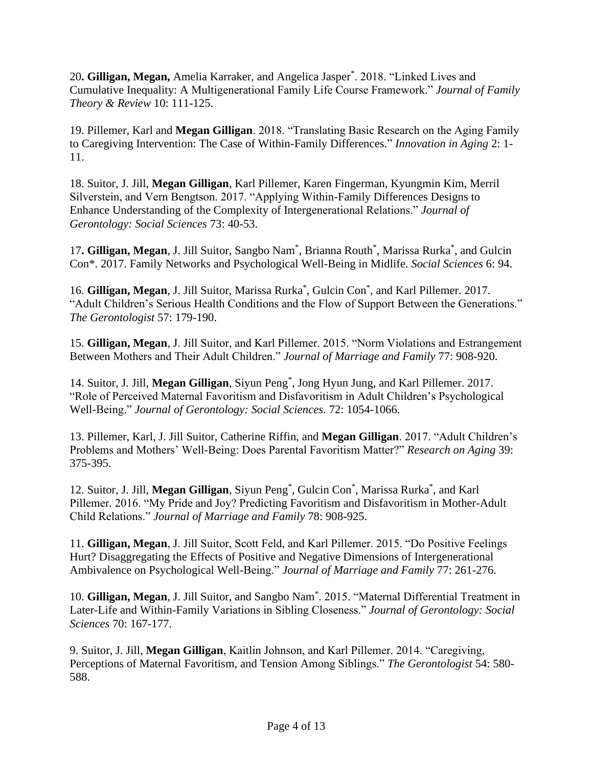20**. Gilligan, Megan,** Amelia Karraker, and Angelica Jasper\* . 2018. "Linked Lives and Cumulative Inequality: A Multigenerational Family Life Course Framework." *Journal of Family Theory & Review* 10: 111-125.

19. Pillemer, Karl and **Megan Gilligan**. 2018. "Translating Basic Research on the Aging Family to Caregiving Intervention: The Case of Within-Family Differences." *Innovation in Aging* 2: 1- 11.

18. Suitor, J. Jill, **Megan Gilligan**, Karl Pillemer, Karen Fingerman, Kyungmin Kim, Merril Silverstein, and Vern Bengtson. 2017. "Applying Within-Family Differences Designs to Enhance Understanding of the Complexity of Intergenerational Relations." *Journal of Gerontology: Social Sciences* 73: 40-53.

17. Gilligan, Megan, J. Jill Suitor, Sangbo Nam<sup>\*</sup>, Brianna Routh<sup>\*</sup>, Marissa Rurka<sup>\*</sup>, and Gulcin Con\*. 2017. Family Networks and Psychological Well-Being in Midlife. *Social Sciences* 6: 94.

16. Gilligan, Megan, J. Jill Suitor, Marissa Rurka<sup>\*</sup>, Gulcin Con<sup>\*</sup>, and Karl Pillemer. 2017. "Adult Children's Serious Health Conditions and the Flow of Support Between the Generations." *The Gerontologist* 57: 179-190.

15. **Gilligan, Megan**, J. Jill Suitor, and Karl Pillemer. 2015. "Norm Violations and Estrangement Between Mothers and Their Adult Children." *Journal of Marriage and Family* 77: 908-920.

14. Suitor, J. Jill, **Megan Gilligan**, Siyun Peng\* , Jong Hyun Jung, and Karl Pillemer. 2017. "Role of Perceived Maternal Favoritism and Disfavoritism in Adult Children's Psychological Well-Being." *Journal of Gerontology: Social Sciences.* 72: 1054-1066.

13. Pillemer, Karl, J. Jill Suitor, Catherine Riffin, and **Megan Gilligan**. 2017. "Adult Children's Problems and Mothers' Well-Being: Does Parental Favoritism Matter?" *Research on Aging* 39: 375-395.

12. Suitor, J. Jill, Megan Gilligan, Siyun Peng<sup>\*</sup>, Gulcin Con<sup>\*</sup>, Marissa Rurka<sup>\*</sup>, and Karl Pillemer. 2016. "My Pride and Joy? Predicting Favoritism and Disfavoritism in Mother-Adult Child Relations." *Journal of Marriage and Family* 78: 908-925.

11. **Gilligan, Megan**, J. Jill Suitor, Scott Feld, and Karl Pillemer. 2015. "Do Positive Feelings Hurt? Disaggregating the Effects of Positive and Negative Dimensions of Intergenerational Ambivalence on Psychological Well-Being." *Journal of Marriage and Family* 77: 261-276.

10. **Gilligan, Megan**, J. Jill Suitor, and Sangbo Nam\* . 2015. "Maternal Differential Treatment in Later-Life and Within-Family Variations in Sibling Closeness." *Journal of Gerontology: Social Sciences* 70: 167-177.

9. Suitor, J. Jill, **Megan Gilligan**, Kaitlin Johnson, and Karl Pillemer. 2014. "Caregiving, Perceptions of Maternal Favoritism, and Tension Among Siblings." *The Gerontologist* 54: 580- 588.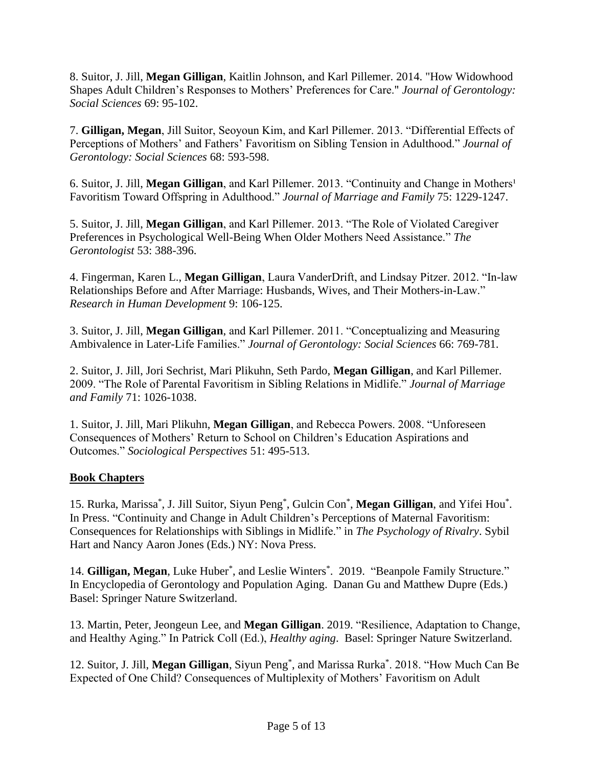8. Suitor, J. Jill, **Megan Gilligan**, Kaitlin Johnson, and Karl Pillemer. 2014. "How Widowhood Shapes Adult Children's Responses to Mothers' Preferences for Care." *Journal of Gerontology: Social Sciences* 69: 95-102.

7. **Gilligan, Megan**, Jill Suitor, Seoyoun Kim, and Karl Pillemer. 2013. "Differential Effects of Perceptions of Mothers' and Fathers' Favoritism on Sibling Tension in Adulthood." *Journal of Gerontology: Social Sciences* 68: 593-598.

6. Suitor, J. Jill, Megan Gilligan, and Karl Pillemer. 2013. "Continuity and Change in Mothers<sup>1</sup> Favoritism Toward Offspring in Adulthood." *Journal of Marriage and Family* 75: 1229-1247.

5. Suitor, J. Jill, **Megan Gilligan**, and Karl Pillemer. 2013. "The Role of Violated Caregiver Preferences in Psychological Well-Being When Older Mothers Need Assistance." *The Gerontologist* 53: 388-396.

4. Fingerman, Karen L., **Megan Gilligan**, Laura VanderDrift, and Lindsay Pitzer. 2012. "In-law Relationships Before and After Marriage: Husbands, Wives, and Their Mothers-in-Law." *Research in Human Development* 9: 106-125.

3. Suitor, J. Jill, **Megan Gilligan**, and Karl Pillemer. 2011. "Conceptualizing and Measuring Ambivalence in Later-Life Families." *Journal of Gerontology: Social Sciences* 66: 769-781.

2. Suitor, J. Jill, Jori Sechrist, Mari Plikuhn, Seth Pardo, **Megan Gilligan**, and Karl Pillemer. 2009. "The Role of Parental Favoritism in Sibling Relations in Midlife." *Journal of Marriage and Family* 71: 1026-1038.

1. Suitor, J. Jill, Mari Plikuhn, **Megan Gilligan**, and Rebecca Powers. 2008. "Unforeseen Consequences of Mothers' Return to School on Children's Education Aspirations and Outcomes." *Sociological Perspectives* 51: 495-513.

# **Book Chapters**

15. Rurka, Marissa\* , J. Jill Suitor, Siyun Peng\* , Gulcin Con\* , **Megan Gilligan**, and Yifei Hou\* . In Press. "Continuity and Change in Adult Children's Perceptions of Maternal Favoritism: Consequences for Relationships with Siblings in Midlife." in *The Psychology of Rivalry*. Sybil Hart and Nancy Aaron Jones (Eds.) NY: Nova Press.

14. Gilligan, Megan, Luke Huber<sup>\*</sup>, and Leslie Winters<sup>\*</sup>. 2019. "Beanpole Family Structure." In Encyclopedia of Gerontology and Population Aging. Danan Gu and Matthew Dupre (Eds.) Basel: Springer Nature Switzerland.

13. Martin, Peter, Jeongeun Lee, and **Megan Gilligan**. 2019. "Resilience, Adaptation to Change, and Healthy Aging." In Patrick Coll (Ed.), *Healthy aging*. Basel: Springer Nature Switzerland.

12. Suitor, J. Jill, **Megan Gilligan**, Siyun Peng\* , and Marissa Rurka\* . 2018. "How Much Can Be Expected of One Child? Consequences of Multiplexity of Mothers' Favoritism on Adult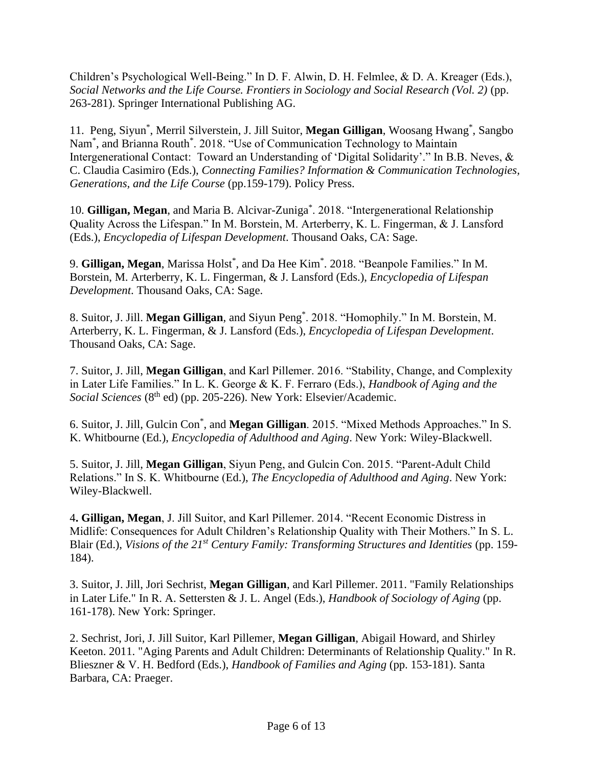Children's Psychological Well-Being." In D. F. Alwin, D. H. Felmlee, & D. A. Kreager (Eds.), *Social Networks and the Life Course. Frontiers in Sociology and Social Research (Vol. 2)* (pp. 263-281). Springer International Publishing AG.

11. Peng, Siyun\* , Merril Silverstein, J. Jill Suitor, **Megan Gilligan**, Woosang Hwang\* , Sangbo Nam<sup>\*</sup>, and Brianna Routh<sup>\*</sup>. 2018. "Use of Communication Technology to Maintain Intergenerational Contact: Toward an Understanding of 'Digital Solidarity'." In B.B. Neves, & C. Claudia Casimiro (Eds.), *Connecting Families? Information & Communication Technologies, Generations, and the Life Course* (pp.159-179). Policy Press.

10. **Gilligan, Megan**, and Maria B. Alcivar-Zuniga\* . 2018. "Intergenerational Relationship Quality Across the Lifespan." In M. Borstein, M. Arterberry, K. L. Fingerman, & J. Lansford (Eds.), *Encyclopedia of Lifespan Development*. Thousand Oaks, CA: Sage.

9. **Gilligan, Megan**, Marissa Holst\* , and Da Hee Kim\* . 2018. "Beanpole Families." In M. Borstein, M. Arterberry, K. L. Fingerman, & J. Lansford (Eds.), *Encyclopedia of Lifespan Development*. Thousand Oaks, CA: Sage.

8. Suitor, J. Jill. **Megan Gilligan**, and Siyun Peng\* . 2018. "Homophily." In M. Borstein, M. Arterberry, K. L. Fingerman, & J. Lansford (Eds.), *Encyclopedia of Lifespan Development*. Thousand Oaks, CA: Sage.

7. Suitor, J. Jill, **Megan Gilligan**, and Karl Pillemer. 2016. "Stability, Change, and Complexity in Later Life Families." In L. K. George & K. F. Ferraro (Eds.), *Handbook of Aging and the Social Sciences* (8<sup>th</sup> ed) (pp. 205-226). New York: Elsevier/Academic.

6. Suitor, J. Jill, Gulcin Con\* , and **Megan Gilligan**. 2015. "Mixed Methods Approaches." In S. K. Whitbourne (Ed.), *Encyclopedia of Adulthood and Aging*. New York: Wiley-Blackwell.

5. Suitor, J. Jill, **Megan Gilligan**, Siyun Peng, and Gulcin Con. 2015. "Parent-Adult Child Relations." In S. K. Whitbourne (Ed.), *The Encyclopedia of Adulthood and Aging*. New York: Wiley-Blackwell.

4**. Gilligan, Megan**, J. Jill Suitor, and Karl Pillemer. 2014. "Recent Economic Distress in Midlife: Consequences for Adult Children's Relationship Quality with Their Mothers." In S. L. Blair (Ed.), *Visions of the 21st Century Family: Transforming Structures and Identities* (pp. 159- 184).

3. Suitor, J. Jill, Jori Sechrist, **Megan Gilligan**, and Karl Pillemer. 2011. "Family Relationships in Later Life." In R. A. Settersten & J. L. Angel (Eds.), *Handbook of Sociology of Aging* (pp. 161-178). New York: Springer.

2. Sechrist, Jori, J. Jill Suitor, Karl Pillemer, **Megan Gilligan**, Abigail Howard, and Shirley Keeton. 2011. "Aging Parents and Adult Children: Determinants of Relationship Quality." In R. Blieszner & V. H. Bedford (Eds.), *Handbook of Families and Aging* (pp. 153-181). Santa Barbara, CA: Praeger.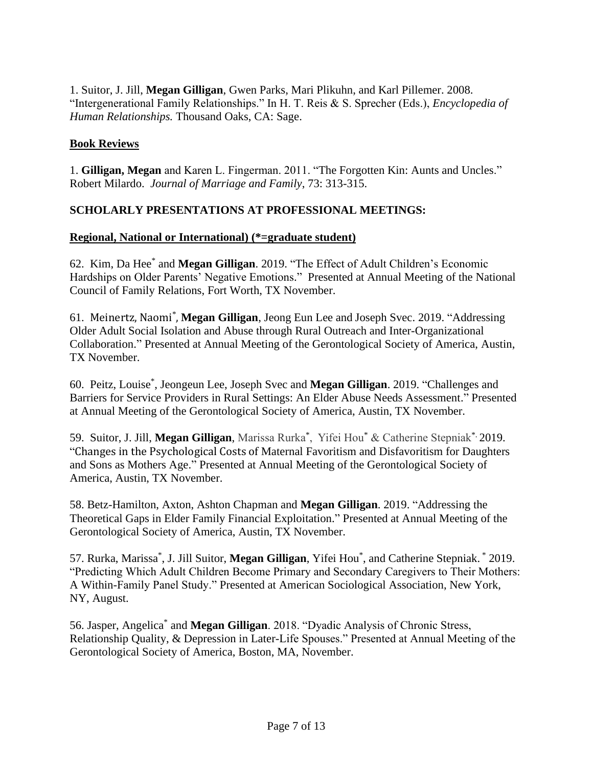1. Suitor, J. Jill, **Megan Gilligan**, Gwen Parks, Mari Plikuhn, and Karl Pillemer. 2008. "Intergenerational Family Relationships." In H. T. Reis & S. Sprecher (Eds.), *Encyclopedia of Human Relationships.* Thousand Oaks, CA: Sage.

## **Book Reviews**

1. **Gilligan, Megan** and Karen L. Fingerman. 2011. "The Forgotten Kin: Aunts and Uncles." Robert Milardo. *Journal of Marriage and Family*, 73: 313-315.

## **SCHOLARLY PRESENTATIONS AT PROFESSIONAL MEETINGS:**

## **Regional, National or International) (\*=graduate student)**

62. Kim, Da Hee\* and **Megan Gilligan**. 2019. "The Effect of Adult Children's Economic Hardships on Older Parents' Negative Emotions." Presented at Annual Meeting of the National Council of Family Relations, Fort Worth, TX November.

61. Meinertz, Naomi\* , **Megan Gilligan**, Jeong Eun Lee and Joseph Svec. 2019. "Addressing Older Adult Social Isolation and Abuse through Rural Outreach and Inter-Organizational Collaboration." Presented at Annual Meeting of the Gerontological Society of America, Austin, TX November.

60. Peitz, Louise\* , Jeongeun Lee, Joseph Svec and **Megan Gilligan**. 2019. "Challenges and Barriers for Service Providers in Rural Settings: An Elder Abuse Needs Assessment." Presented at Annual Meeting of the Gerontological Society of America, Austin, TX November.

59. Suitor, J. Jill, **Megan Gilligan**, Marissa Rurka\* , Yifei Hou\* & Catherine Stepniak\*. 2019. "Changes in the Psychological Costs of Maternal Favoritism and Disfavoritism for Daughters and Sons as Mothers Age." Presented at Annual Meeting of the Gerontological Society of America, Austin, TX November.

58. Betz-Hamilton, Axton, Ashton Chapman and **Megan Gilligan**. 2019. "Addressing the Theoretical Gaps in Elder Family Financial Exploitation." Presented at Annual Meeting of the Gerontological Society of America, Austin, TX November.

57. Rurka, Marissa\* , J. Jill Suitor, **Megan Gilligan**, Yifei Hou\* , and Catherine Stepniak. \* 2019. "Predicting Which Adult Children Become Primary and Secondary Caregivers to Their Mothers: A Within-Family Panel Study." Presented at American Sociological Association, New York, NY, August.

56. Jasper, Angelica<sup>\*</sup> and Megan Gilligan. 2018. "Dyadic Analysis of Chronic Stress, Relationship Quality, & Depression in Later-Life Spouses." Presented at Annual Meeting of the Gerontological Society of America, Boston, MA, November.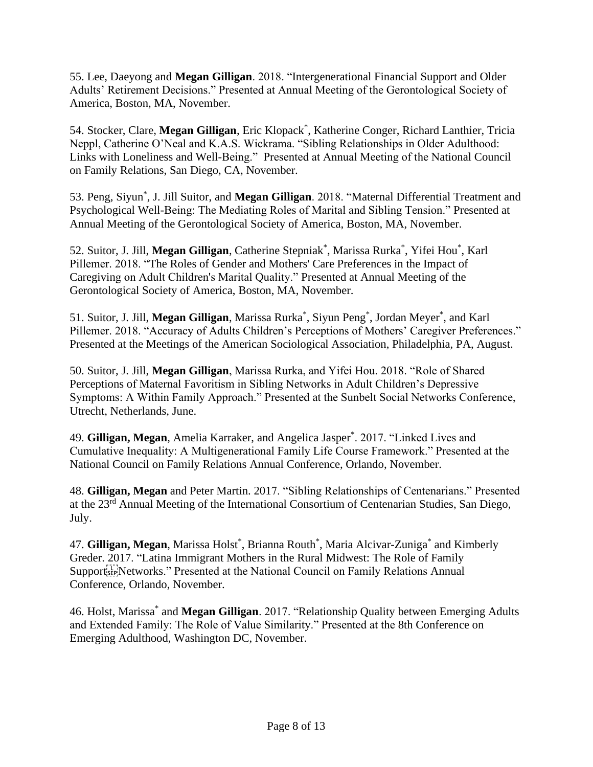55. Lee, Daeyong and **Megan Gilligan**. 2018. "Intergenerational Financial Support and Older Adults' Retirement Decisions." Presented at Annual Meeting of the Gerontological Society of America, Boston, MA, November.

54. Stocker, Clare, **Megan Gilligan**, Eric Klopack\* , Katherine Conger, Richard Lanthier, Tricia Neppl, Catherine O'Neal and K.A.S. Wickrama. "Sibling Relationships in Older Adulthood: Links with Loneliness and Well-Being." Presented at Annual Meeting of the National Council on Family Relations, San Diego, CA, November.

53. Peng, Siyun\* , J. Jill Suitor, and **Megan Gilligan**. 2018. "Maternal Differential Treatment and Psychological Well-Being: The Mediating Roles of Marital and Sibling Tension." Presented at Annual Meeting of the Gerontological Society of America, Boston, MA, November.

52. Suitor, J. Jill, Megan Gilligan, Catherine Stepniak<sup>\*</sup>, Marissa Rurka<sup>\*</sup>, Yifei Hou<sup>\*</sup>, Karl Pillemer. 2018. "The Roles of Gender and Mothers' Care Preferences in the Impact of Caregiving on Adult Children's Marital Quality." Presented at Annual Meeting of the Gerontological Society of America, Boston, MA, November.

51. Suitor, J. Jill, Megan Gilligan, Marissa Rurka<sup>\*</sup>, Siyun Peng<sup>\*</sup>, Jordan Meyer<sup>\*</sup>, and Karl Pillemer. 2018. "Accuracy of Adults Children's Perceptions of Mothers' Caregiver Preferences." Presented at the Meetings of the American Sociological Association, Philadelphia, PA, August.

50. Suitor, J. Jill, **Megan Gilligan**, Marissa Rurka, and Yifei Hou. 2018. "Role of Shared Perceptions of Maternal Favoritism in Sibling Networks in Adult Children's Depressive Symptoms: A Within Family Approach." Presented at the Sunbelt Social Networks Conference, Utrecht, Netherlands, June.

49. **Gilligan, Megan**, Amelia Karraker, and Angelica Jasper\* . 2017. "Linked Lives and Cumulative Inequality: A Multigenerational Family Life Course Framework." Presented at the National Council on Family Relations Annual Conference, Orlando, November.

48. **Gilligan, Megan** and Peter Martin. 2017. "Sibling Relationships of Centenarians." Presented at the 23rd Annual Meeting of the International Consortium of Centenarian Studies, San Diego, July.

47. Gilligan, Megan, Marissa Holst<sup>\*</sup>, Brianna Routh<sup>\*</sup>, Maria Alcivar-Zuniga<sup>\*</sup> and Kimberly Greder. 2017. "Latina Immigrant Mothers in the Rural Midwest: The Role of Family Support<sup>[17</sup>]Networks." Presented at the National Council on Family Relations Annual Conference, Orlando, November.

46. Holst, Marissa\* and **Megan Gilligan**. 2017. "Relationship Quality between Emerging Adults and Extended Family: The Role of Value Similarity." Presented at the 8th Conference on Emerging Adulthood, Washington DC, November.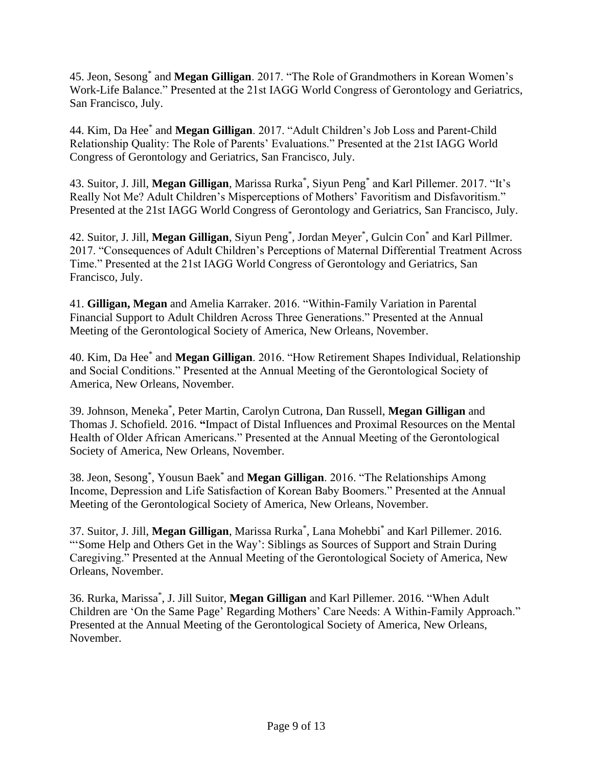45. Jeon, Sesong\* and **Megan Gilligan**. 2017. "The Role of Grandmothers in Korean Women's Work-Life Balance." Presented at the 21st IAGG World Congress of Gerontology and Geriatrics, San Francisco, July.

44. Kim, Da Hee\* and **Megan Gilligan**. 2017. "Adult Children's Job Loss and Parent-Child Relationship Quality: The Role of Parents' Evaluations." Presented at the 21st IAGG World Congress of Gerontology and Geriatrics, San Francisco, July.

43. Suitor, J. Jill, **Megan Gilligan**, Marissa Rurka\* , Siyun Peng\* and Karl Pillemer. 2017. "It's Really Not Me? Adult Children's Misperceptions of Mothers' Favoritism and Disfavoritism." Presented at the 21st IAGG World Congress of Gerontology and Geriatrics, San Francisco, July.

42. Suitor, J. Jill, **Megan Gilligan**, Siyun Peng\* , Jordan Meyer\* , Gulcin Con\* and Karl Pillmer. 2017. "Consequences of Adult Children's Perceptions of Maternal Differential Treatment Across Time." Presented at the 21st IAGG World Congress of Gerontology and Geriatrics, San Francisco, July.

41. **Gilligan, Megan** and Amelia Karraker. 2016. "Within-Family Variation in Parental Financial Support to Adult Children Across Three Generations." Presented at the Annual Meeting of the Gerontological Society of America, New Orleans, November.

40. Kim, Da Hee\* and **Megan Gilligan**. 2016. "How Retirement Shapes Individual, Relationship and Social Conditions." Presented at the Annual Meeting of the Gerontological Society of America, New Orleans, November.

39. Johnson, Meneka\* , Peter Martin, Carolyn Cutrona, Dan Russell, **Megan Gilligan** and Thomas J. Schofield. 2016. **"**Impact of Distal Influences and Proximal Resources on the Mental Health of Older African Americans." Presented at the Annual Meeting of the Gerontological Society of America, New Orleans, November.

38. Jeon, Sesong\* , Yousun Baek\* and **Megan Gilligan**. 2016. "The Relationships Among Income, Depression and Life Satisfaction of Korean Baby Boomers." Presented at the Annual Meeting of the Gerontological Society of America, New Orleans, November.

37. Suitor, J. Jill, **Megan Gilligan**, Marissa Rurka\* , Lana Mohebbi\* and Karl Pillemer. 2016. "'Some Help and Others Get in the Way': Siblings as Sources of Support and Strain During Caregiving." Presented at the Annual Meeting of the Gerontological Society of America, New Orleans, November.

36. Rurka, Marissa\* , J. Jill Suitor, **Megan Gilligan** and Karl Pillemer. 2016. "When Adult Children are 'On the Same Page' Regarding Mothers' Care Needs: A Within-Family Approach." Presented at the Annual Meeting of the Gerontological Society of America, New Orleans, November.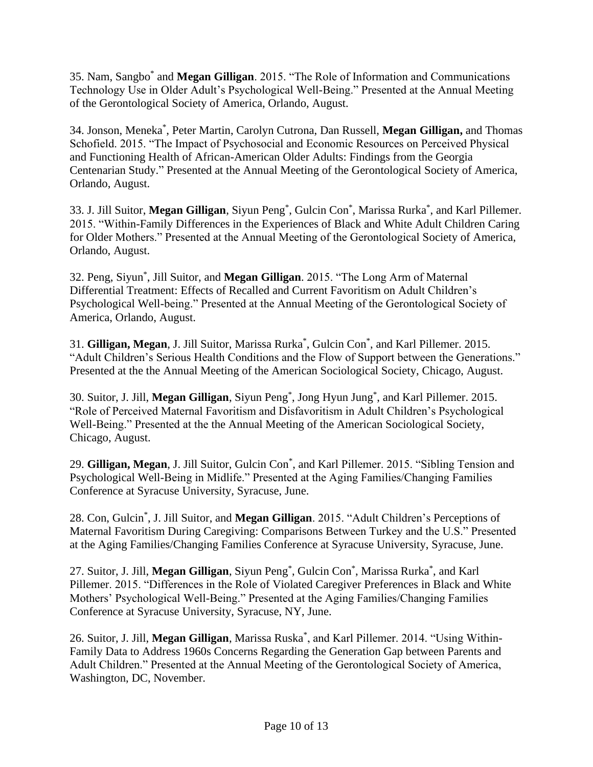35. Nam, Sangbo\* and **Megan Gilligan**. 2015. "The Role of Information and Communications Technology Use in Older Adult's Psychological Well-Being." Presented at the Annual Meeting of the Gerontological Society of America, Orlando, August.

34. Jonson, Meneka\* , Peter Martin, Carolyn Cutrona, Dan Russell, **Megan Gilligan,** and Thomas Schofield. 2015. "The Impact of Psychosocial and Economic Resources on Perceived Physical and Functioning Health of African-American Older Adults: Findings from the Georgia Centenarian Study." Presented at the Annual Meeting of the Gerontological Society of America, Orlando, August.

33. J. Jill Suitor, **Megan Gilligan**, Siyun Peng\* , Gulcin Con\* , Marissa Rurka\* , and Karl Pillemer. 2015. "Within-Family Differences in the Experiences of Black and White Adult Children Caring for Older Mothers." Presented at the Annual Meeting of the Gerontological Society of America, Orlando, August.

32. Peng, Siyun\* , Jill Suitor, and **Megan Gilligan**. 2015. "The Long Arm of Maternal Differential Treatment: Effects of Recalled and Current Favoritism on Adult Children's Psychological Well-being." Presented at the Annual Meeting of the Gerontological Society of America, Orlando, August.

31. **Gilligan, Megan**, J. Jill Suitor, Marissa Rurka\* , Gulcin Con\* , and Karl Pillemer. 2015. "Adult Children's Serious Health Conditions and the Flow of Support between the Generations." Presented at the the Annual Meeting of the American Sociological Society, Chicago, August.

30. Suitor, J. Jill, **Megan Gilligan**, Siyun Peng\* , Jong Hyun Jung\* , and Karl Pillemer. 2015. "Role of Perceived Maternal Favoritism and Disfavoritism in Adult Children's Psychological Well-Being." Presented at the the Annual Meeting of the American Sociological Society, Chicago, August.

29. **Gilligan, Megan**, J. Jill Suitor, Gulcin Con\* , and Karl Pillemer. 2015. "Sibling Tension and Psychological Well-Being in Midlife." Presented at the Aging Families/Changing Families Conference at Syracuse University, Syracuse, June.

28. Con, Gulcin\* , J. Jill Suitor, and **Megan Gilligan**. 2015. "Adult Children's Perceptions of Maternal Favoritism During Caregiving: Comparisons Between Turkey and the U.S." Presented at the Aging Families/Changing Families Conference at Syracuse University, Syracuse, June.

27. Suitor, J. Jill, **Megan Gilligan**, Siyun Peng\* , Gulcin Con\* , Marissa Rurka\* , and Karl Pillemer. 2015. "Differences in the Role of Violated Caregiver Preferences in Black and White Mothers' Psychological Well-Being." Presented at the Aging Families/Changing Families Conference at Syracuse University, Syracuse, NY, June.

26. Suitor, J. Jill, Megan Gilligan, Marissa Ruska<sup>\*</sup>, and Karl Pillemer. 2014. "Using Within-Family Data to Address 1960s Concerns Regarding the Generation Gap between Parents and Adult Children." Presented at the Annual Meeting of the Gerontological Society of America, Washington, DC, November.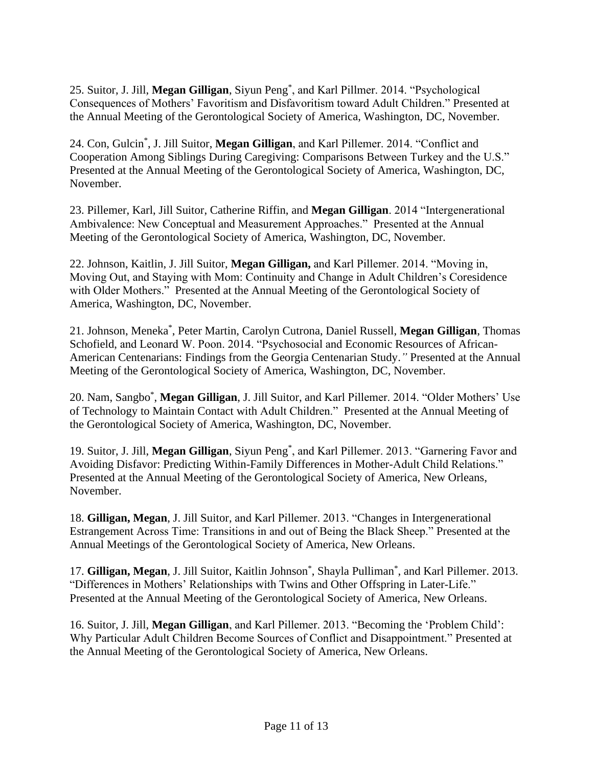25. Suitor, J. Jill, **Megan Gilligan**, Siyun Peng\* , and Karl Pillmer. 2014. "Psychological Consequences of Mothers' Favoritism and Disfavoritism toward Adult Children." Presented at the Annual Meeting of the Gerontological Society of America, Washington, DC, November.

24. Con, Gulcin\* , J. Jill Suitor, **Megan Gilligan**, and Karl Pillemer. 2014. "Conflict and Cooperation Among Siblings During Caregiving: Comparisons Between Turkey and the U.S." Presented at the Annual Meeting of the Gerontological Society of America, Washington, DC, November.

23. Pillemer, Karl, Jill Suitor, Catherine Riffin, and **Megan Gilligan**. 2014 "Intergenerational Ambivalence: New Conceptual and Measurement Approaches." Presented at the Annual Meeting of the Gerontological Society of America, Washington, DC, November.

22. Johnson, Kaitlin, J. Jill Suitor, **Megan Gilligan,** and Karl Pillemer. 2014. "Moving in, Moving Out, and Staying with Mom: Continuity and Change in Adult Children's Coresidence with Older Mothers." Presented at the Annual Meeting of the Gerontological Society of America, Washington, DC, November.

21. Johnson, Meneka\* , Peter Martin, Carolyn Cutrona, Daniel Russell, **Megan Gilligan**, Thomas Schofield, and Leonard W. Poon. 2014. "Psychosocial and Economic Resources of African-American Centenarians: Findings from the Georgia Centenarian Study.*"* Presented at the Annual Meeting of the Gerontological Society of America, Washington, DC, November.

20. Nam, Sangbo\* , **Megan Gilligan**, J. Jill Suitor, and Karl Pillemer. 2014. "Older Mothers' Use of Technology to Maintain Contact with Adult Children." Presented at the Annual Meeting of the Gerontological Society of America, Washington, DC, November.

19. Suitor, J. Jill, **Megan Gilligan**, Siyun Peng\* , and Karl Pillemer. 2013. "Garnering Favor and Avoiding Disfavor: Predicting Within-Family Differences in Mother-Adult Child Relations." Presented at the Annual Meeting of the Gerontological Society of America, New Orleans, November.

18. **Gilligan, Megan**, J. Jill Suitor, and Karl Pillemer. 2013. "Changes in Intergenerational Estrangement Across Time: Transitions in and out of Being the Black Sheep." Presented at the Annual Meetings of the Gerontological Society of America, New Orleans.

17. Gilligan, Megan, J. Jill Suitor, Kaitlin Johnson<sup>\*</sup>, Shayla Pulliman<sup>\*</sup>, and Karl Pillemer. 2013. "Differences in Mothers' Relationships with Twins and Other Offspring in Later-Life." Presented at the Annual Meeting of the Gerontological Society of America, New Orleans.

16. Suitor, J. Jill, **Megan Gilligan**, and Karl Pillemer. 2013. "Becoming the 'Problem Child': Why Particular Adult Children Become Sources of Conflict and Disappointment." Presented at the Annual Meeting of the Gerontological Society of America, New Orleans.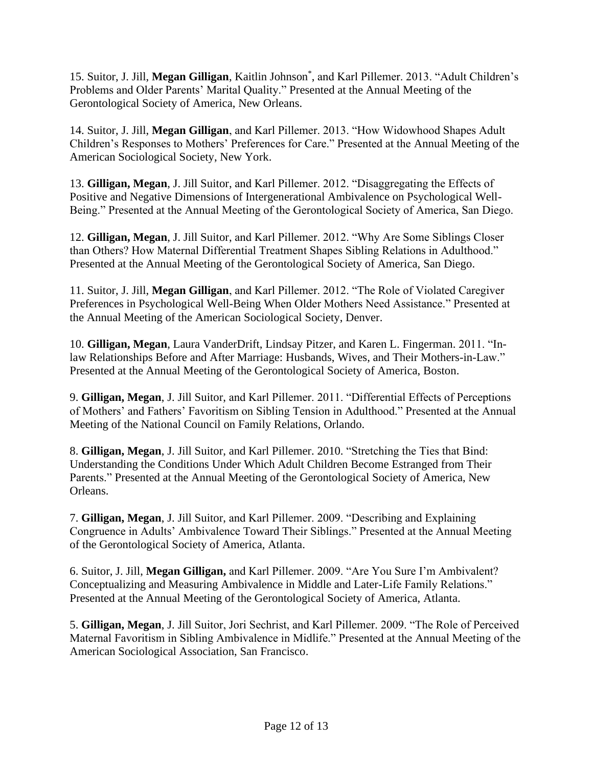15. Suitor, J. Jill, **Megan Gilligan**, Kaitlin Johnson\* , and Karl Pillemer. 2013. "Adult Children's Problems and Older Parents' Marital Quality." Presented at the Annual Meeting of the Gerontological Society of America, New Orleans.

14. Suitor, J. Jill, **Megan Gilligan**, and Karl Pillemer. 2013. "How Widowhood Shapes Adult Children's Responses to Mothers' Preferences for Care." Presented at the Annual Meeting of the American Sociological Society, New York.

13. **Gilligan, Megan**, J. Jill Suitor, and Karl Pillemer. 2012. "Disaggregating the Effects of Positive and Negative Dimensions of Intergenerational Ambivalence on Psychological Well-Being." Presented at the Annual Meeting of the Gerontological Society of America, San Diego.

12. **Gilligan, Megan**, J. Jill Suitor, and Karl Pillemer. 2012. "Why Are Some Siblings Closer than Others? How Maternal Differential Treatment Shapes Sibling Relations in Adulthood." Presented at the Annual Meeting of the Gerontological Society of America, San Diego.

11. Suitor, J. Jill, **Megan Gilligan**, and Karl Pillemer. 2012. "The Role of Violated Caregiver Preferences in Psychological Well-Being When Older Mothers Need Assistance." Presented at the Annual Meeting of the American Sociological Society, Denver.

10. **Gilligan, Megan**, Laura VanderDrift, Lindsay Pitzer, and Karen L. Fingerman. 2011. "Inlaw Relationships Before and After Marriage: Husbands, Wives, and Their Mothers-in-Law." Presented at the Annual Meeting of the Gerontological Society of America, Boston.

9. **Gilligan, Megan**, J. Jill Suitor, and Karl Pillemer. 2011. "Differential Effects of Perceptions of Mothers' and Fathers' Favoritism on Sibling Tension in Adulthood." Presented at the Annual Meeting of the National Council on Family Relations, Orlando.

8. **Gilligan, Megan**, J. Jill Suitor, and Karl Pillemer. 2010. "Stretching the Ties that Bind: Understanding the Conditions Under Which Adult Children Become Estranged from Their Parents." Presented at the Annual Meeting of the Gerontological Society of America, New Orleans.

7. **Gilligan, Megan**, J. Jill Suitor, and Karl Pillemer. 2009. "Describing and Explaining Congruence in Adults' Ambivalence Toward Their Siblings." Presented at the Annual Meeting of the Gerontological Society of America, Atlanta.

6. Suitor, J. Jill, **Megan Gilligan,** and Karl Pillemer. 2009. "Are You Sure I'm Ambivalent? Conceptualizing and Measuring Ambivalence in Middle and Later-Life Family Relations." Presented at the Annual Meeting of the Gerontological Society of America, Atlanta.

5. **Gilligan, Megan**, J. Jill Suitor, Jori Sechrist, and Karl Pillemer. 2009. "The Role of Perceived Maternal Favoritism in Sibling Ambivalence in Midlife." Presented at the Annual Meeting of the American Sociological Association, San Francisco.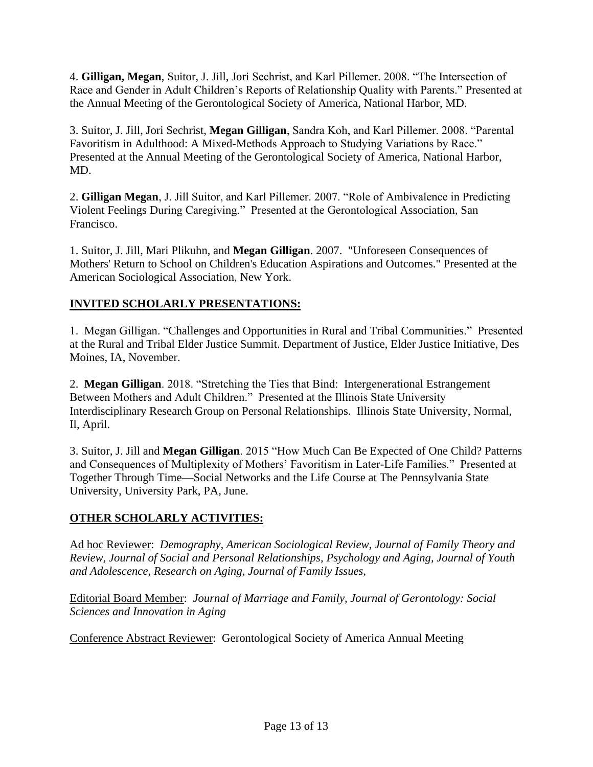4. **Gilligan, Megan**, Suitor, J. Jill, Jori Sechrist, and Karl Pillemer. 2008. "The Intersection of Race and Gender in Adult Children's Reports of Relationship Quality with Parents." Presented at the Annual Meeting of the Gerontological Society of America, National Harbor, MD.

3. Suitor, J. Jill, Jori Sechrist, **Megan Gilligan**, Sandra Koh, and Karl Pillemer. 2008. "Parental Favoritism in Adulthood: A Mixed-Methods Approach to Studying Variations by Race." Presented at the Annual Meeting of the Gerontological Society of America, National Harbor, MD.

2. **Gilligan Megan**, J. Jill Suitor, and Karl Pillemer. 2007. "Role of Ambivalence in Predicting Violent Feelings During Caregiving." Presented at the Gerontological Association, San Francisco.

1. Suitor, J. Jill, Mari Plikuhn, and **Megan Gilligan**. 2007. "Unforeseen Consequences of Mothers' Return to School on Children's Education Aspirations and Outcomes." Presented at the American Sociological Association, New York.

# **INVITED SCHOLARLY PRESENTATIONS:**

1. Megan Gilligan. "Challenges and Opportunities in Rural and Tribal Communities." Presented at the Rural and Tribal Elder Justice Summit. Department of Justice, Elder Justice Initiative, Des Moines, IA, November.

2. **Megan Gilligan**. 2018. "Stretching the Ties that Bind: Intergenerational Estrangement Between Mothers and Adult Children." Presented at the Illinois State University Interdisciplinary Research Group on Personal Relationships. Illinois State University, Normal, Il, April.

3. Suitor, J. Jill and **Megan Gilligan**. 2015 "How Much Can Be Expected of One Child? Patterns and Consequences of Multiplexity of Mothers' Favoritism in Later-Life Families." Presented at Together Through Time—Social Networks and the Life Course at The Pennsylvania State University, University Park, PA, June.

# **OTHER SCHOLARLY ACTIVITIES:**

Ad hoc Reviewer: *Demography, American Sociological Review, Journal of Family Theory and Review, Journal of Social and Personal Relationships, Psychology and Aging, Journal of Youth and Adolescence, Research on Aging, Journal of Family Issues,*

Editorial Board Member: *Journal of Marriage and Family, Journal of Gerontology: Social Sciences and Innovation in Aging*

Conference Abstract Reviewer: Gerontological Society of America Annual Meeting